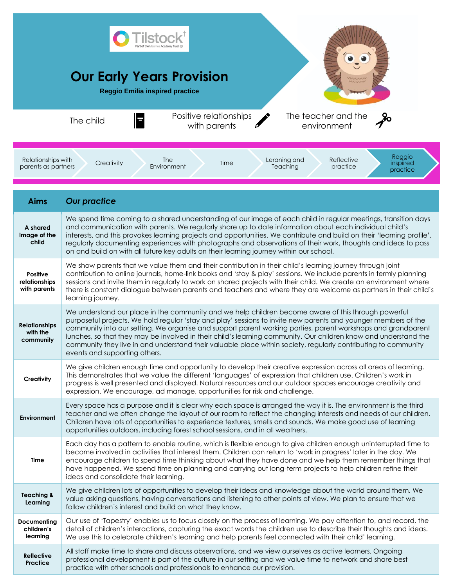|                                                                                                                                                                                       | <b>Our Early Years Provision</b><br><b>Reggio Emilia inspired practice</b><br>Positive relationships<br>The teacher and the<br>The child<br>with parents<br>environment                                                                                                                                                                                                                                                                                                                                                                                                                                     |
|---------------------------------------------------------------------------------------------------------------------------------------------------------------------------------------|-------------------------------------------------------------------------------------------------------------------------------------------------------------------------------------------------------------------------------------------------------------------------------------------------------------------------------------------------------------------------------------------------------------------------------------------------------------------------------------------------------------------------------------------------------------------------------------------------------------|
| Reggio<br>Reflective<br>Relationships with<br><b>The</b><br>Leraning and<br>Creativity<br>Time<br>inspiired<br>parents as partners<br>Environment<br>Teaching<br>practice<br>practice |                                                                                                                                                                                                                                                                                                                                                                                                                                                                                                                                                                                                             |
| <b>Aims</b>                                                                                                                                                                           | <b>Our practice</b>                                                                                                                                                                                                                                                                                                                                                                                                                                                                                                                                                                                         |
| A shared<br>image of the<br>child                                                                                                                                                     | We spend time coming to a shared understanding of our image of each child in regular meetings, transition days<br>and communication with parents. We regularly share up to date information about each individual child's<br>interests, and this provokes learning projects and opportunities. We contribute and build on their 'learning profile',<br>regularly documenting experiences with photographs and observations of their work, thoughts and ideas to pass<br>on and build on with all future key adults on their learning journey within our school.                                             |
| <b>Positive</b><br>relationships<br>with parents                                                                                                                                      | We show parents that we value them and their contribution in their child's learning journey through joint<br>contribution to online journals, home-link books and 'stay & play' sessions. We include parents in termly planning<br>sessions and invite them in regularly to work on shared projects with their child. We create an environment where<br>there is constant dialogue between parents and teachers and where they are welcome as partners in their child's<br>learning journey.                                                                                                                |
| <b>Relationships</b><br>with the<br>community                                                                                                                                         | We understand our place in the community and we help children become aware of this through powerful<br>purposeful projects. We hold regular 'stay and play' sessions to invite new parents and younger members of the<br>community into our setting. We organise and support parent working parties, parent workshops and grandparent<br>lunches, so that they may be involved in their child's learning community. Our children know and understand the<br>community they live in and understand their valuable place within society, regularly contributing to community<br>events and supporting others. |
| Creativity                                                                                                                                                                            | We give children enough time and opportunity to develop their creative expression across all areas of learning.<br>This demonstrates that we value the different 'languages' of expression that children use. Children's work in<br>progress is well presented and displayed. Natural resources and our outdoor spaces encourage creativity and<br>expression. We encourage, ad manage, opportunities for risk and challenge.                                                                                                                                                                               |
| <b>Environment</b>                                                                                                                                                                    | Every space has a purpose and it is clear why each space is arranged the way it is. The environment is the third<br>teacher and we often change the layout of our room to reflect the changing interests and needs of our children.<br>Children have lots of opportunities to experience textures, smells and sounds. We make good use of learning<br>opportunities outdoors, including forest school sessions, and in all weathers.                                                                                                                                                                        |
| Time                                                                                                                                                                                  | Each day has a pattern to enable routine, which is flexible enough to give children enough uninterrupted time to<br>become involved in activities that interest them. Children can return to 'work in progress' later in the day. We<br>encourage children to spend time thinking about what they have done and we help them remember things that<br>have happened. We spend time on planning and carrying out long-term projects to help children refine their<br>ideas and consolidate their learning.                                                                                                    |
| <b>Teaching &amp;</b><br>Learning                                                                                                                                                     | We give children lots of opportunities to develop their ideas and knowledge about the world around them. We<br>value asking questions, having conversations and listening to other points of view. We plan to ensure that we<br>follow children's interest and build on what they know.                                                                                                                                                                                                                                                                                                                     |
| Documenting<br>children's<br>learning                                                                                                                                                 | Our use of 'Tapestry' enables us to focus closely on the process of learning. We pay attention to, and record, the<br>detail of children's interactions, capturing the exact words the children use to describe their thoughts and ideas.<br>We use this to celebrate children's learning and help parents feel connected with their child' learning.                                                                                                                                                                                                                                                       |
| <b>Reflective</b><br>Practice                                                                                                                                                         | All staff make time to share and discuss observations, and we view ourselves as active learners. Ongoing<br>professional development is part of the culture in our setting and we value time to network and share best<br>practice with other schools and professionals to enhance our provision.                                                                                                                                                                                                                                                                                                           |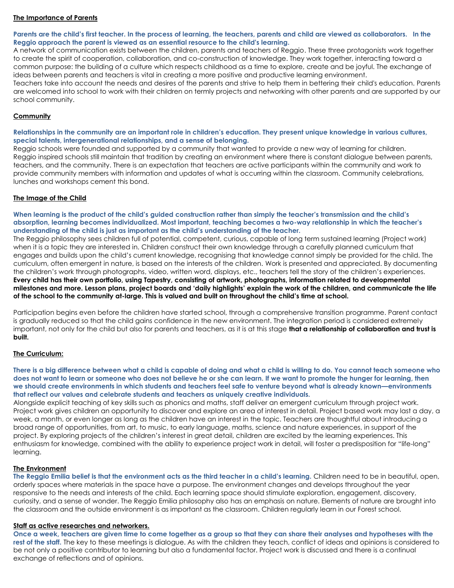## **The Importance of Parents**

**Parents are the child's first teacher. In the process of learning, the teachers, parents and child are viewed as collaborators. In the Reggio approach the parent is viewed as an essential resource to the child's learning.**

A network of communication exists between the children, parents and teachers of Reggio. These three protagonists work together to create the spirit of cooperation, collaboration, and co-construction of knowledge. They work together, interacting toward a common purpose: the building of a culture which respects childhood as a time to explore, create and be joyful. The exchange of ideas between parents and teachers is vital in creating a more positive and productive learning environment.

Teachers take into account the needs and desires of the parents and strive to help them in bettering their child's education. Parents are welcomed into school to work with their children on termly projects and networking with other parents and are supported by our school community.

## **Community**

**Relationships in the community are an important role in children's education. They present unique knowledge in various cultures, special talents, intergenerational relationships, and a sense of belonging.**

Reggio schools were founded and supported by a community that wanted to provide a new way of learning for children. Reggio inspired schools still maintain that tradition by creating an environment where there is constant dialogue between parents, teachers, and the community. There is an expectation that teachers are active participants within the community and work to provide community members with information and updates of what is occurring within the classroom. Community celebrations, lunches and workshops cement this bond.

## **The Image of the Child**

When learning is the product of the child's quided construction rather than simply the teacher's transmission and the child's **absorption, learning becomes individualized. Most important, teaching becomes a two-way relationship in which the teacher's understanding of the child is just as important as the child's understanding of the teacher.**

The Reggio philosophy sees children full of potential, competent, curious, capable of long term sustained learning (Project work) when it is a topic they are interested in. Children construct their own knowledge through a carefully planned curriculum that engages and builds upon the child's current knowledge, recognising that knowledge cannot simply be provided for the child. The curriculum, often emergent in nature, is based on the interests of the children. Work is presented and appreciated. By documenting the children's work through photographs, video, written word, displays, etc., teachers tell the story of the children's experiences. **Every child has their own portfolio, using Tapestry, consisting of artwork, photographs, information related to developmental milestones and more. Lesson plans, project boards and 'daily highlights' explain the work of the children, and communicate the life of the school to the community at-large. This is valued and built on throughout the child's time at school.** 

Participation begins even before the children have started school, through a comprehensive transition programme. Parent contact is gradually reduced so that the child gains confidence in the new environment. The integration period is considered extremely important, not only for the child but also for parents and teachers, as it is at this stage **that a relationship of collaboration and trust is built.**

#### **The Curriculum:**

**There is a big difference between what a child is capable of doing and what a child is willing to do. You cannot teach someone who does not want to learn or someone who does not believe he or she can learn. If we want to promote the hunger for learning, then we should create environments in which students and teachers feel safe to venture beyond what is already known—environments that reflect our values and celebrate students and teachers as uniquely creative individuals.**

Alongside explicit teaching of key skills such as phonics and maths, staff deliver an emergent curriculum through project work. Project work gives children an opportunity to discover and explore an area of interest in detail. Project based work may last a day, a week, a month, or even longer as long as the children have an interest in the topic. Teachers are thoughtful about introducing a broad range of opportunities, from art, to music, to early language, maths, science and nature experiences, in support of the project. By exploring projects of the children's interest in great detail, children are excited by the learning experiences. This enthusiasm for knowledge, combined with the ability to experience project work in detail, will foster a predisposition for "life-long" learning.

#### **The Environment**

**The Reggio Emilia belief is that the environment acts as the third teacher in a child's learning.** Children need to be in beautiful, open, orderly spaces where materials in the space have a purpose. The environment changes and develops throughout the year responsive to the needs and interests of the child. Each learning space should stimulate exploration, engagement, discovery, curiosity, and a sense of wonder. The Reggio Emilia philosophy also has an emphasis on nature. Elements of nature are brought into the classroom and the outside environment is as important as the classroom. Children regularly learn in our Forest school.

#### **Staff as active researches and networkers.**

**Once a week, teachers are given time to come together as a group so that they can share their analyses and hypotheses with the rest of the staff.** The key to these meetings is dialogue. As with the children they teach, conflict of ideas and opinions is considered to be not only a positive contributor to learning but also a fundamental factor. Project work is discussed and there is a continual exchange of reflections and of opinions.